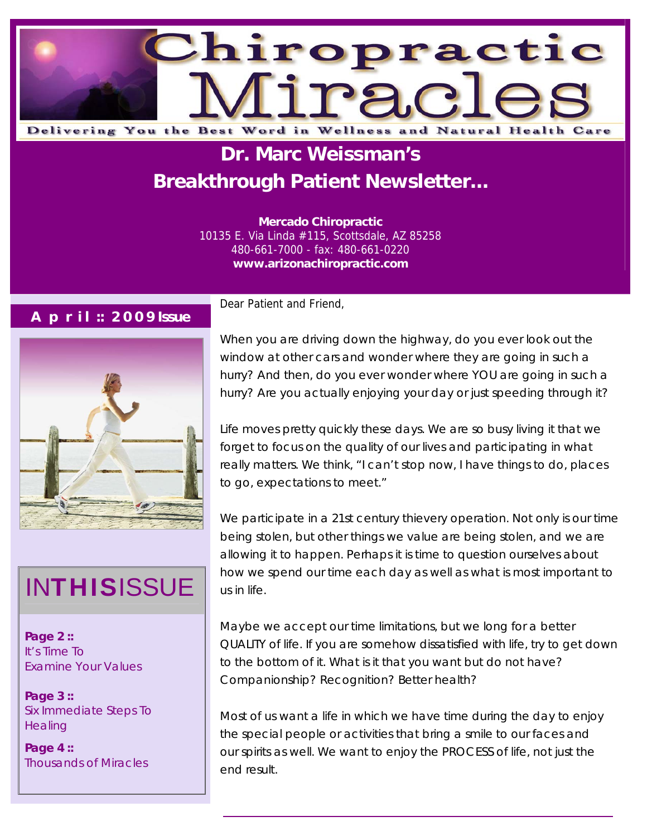

# **Dr. Marc Weissman's Breakthrough Patient Newsletter...**

**Mercado Chiropractic**  10135 E. Via Linda #115, Scottsdale, AZ 85258 480-661-7000 - fax: 480-661-0220 **www.arizonachiropractic.com**

#### **A p r i l :: 2 0 0 9 Issue**



# INTHISISSUE us in life.

**Page 2 ::**  It's Time To Examine Your Values

**Page 3 ::**  Six Immediate Steps To **Healing** 

**Page 4 ::**  Thousands of Miracles Dear Patient and Friend,

When you are driving down the highway, do you ever look out the window at other cars and wonder where they are going in such a hurry? And then, do you ever wonder where YOU are going in such a hurry? Are you actually enjoying your day or just speeding through it?

Life moves pretty quickly these days. We are so busy living it that we forget to focus on the quality of our lives and participating in what really matters. We think, "I can't stop now, I have things to do, places to go, expectations to meet."

We participate in a 21st century thievery operation. Not only is our time being stolen, but other things we value are being stolen, and we are allowing it to happen. Perhaps it is time to question ourselves about how we spend our time each day as well as what is most important to

Maybe we accept our time limitations, but we long for a better QUALITY of life. If you are somehow dissatisfied with life, try to get down to the bottom of it. What is it that you want but do not have? Companionship? Recognition? Better health?

Most of us want a life in which we have time during the day to enjoy the special people or activities that bring a smile to our faces and our spirits as well. We want to enjoy the PROCESS of life, not just the end result.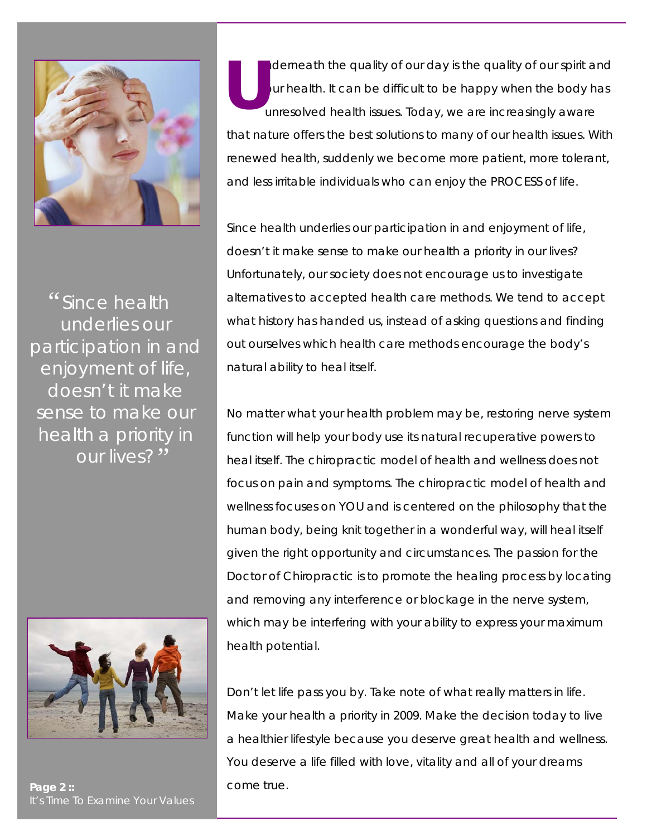

*Since health*  " *underlies our participation in and enjoyment of life, doesn't it make sense to make our health a priority in our lives?*"



Page 2 :: **and Taylor 2 is a structure.** Come true. It's Time To Examine Your Values

nderneath the quality of our day is the quality of our spirit and our health. It can be difficult to be happy when the body has unresolved health issues. Today, we are increasingly aware that nature offers the best solutions to many of our health issues. With renewed health, suddenly we become more patient, more tolerant, and less irritable individuals who can enjoy the PROCESS of life. **U**

Since health underlies our participation in and enjoyment of life, doesn't it make sense to make our health a priority in our lives? Unfortunately, our society does not encourage us to investigate alternatives to accepted health care methods. We tend to accept what history has handed us, instead of asking questions and finding out ourselves which health care methods encourage the body's natural ability to heal itself.

No matter what your health problem may be, restoring nerve system function will help your body use its natural recuperative powers to heal itself. The chiropractic model of health and wellness does not focus on pain and symptoms. The chiropractic model of health and wellness focuses on YOU and is centered on the philosophy that the human body, being knit together in a wonderful way, will heal itself given the right opportunity and circumstances. The passion for the Doctor of Chiropractic is to promote the healing process by locating and removing any interference or blockage in the nerve system, which may be interfering with your ability to express your maximum health potential.

Don't let life pass you by. Take note of what really matters in life. Make your health a priority in 2009. Make the decision today to live a healthier lifestyle because you deserve great health and wellness. You deserve a life filled with love, vitality and all of your dreams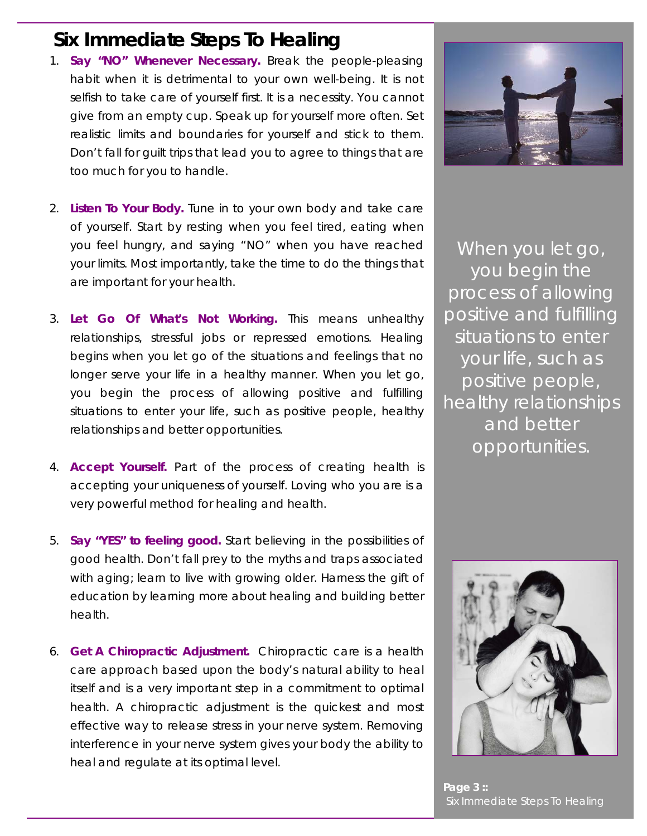### **Six Immediate Steps To Healing**

- *1. Say "NO" Whenever Necessary.* Break the people-pleasing habit when it is detrimental to your own well-being. It is not selfish to take care of yourself first. It is a necessity. You cannot give from an empty cup. Speak up for yourself more often. Set realistic limits and boundaries for yourself and stick to them. Don't fall for guilt trips that lead you to agree to things that are too much for you to handle.
- *2. Listen To Your Body.* Tune in to your own body and take care of yourself. Start by resting when you feel tired, eating when you feel hungry, and saying "NO" when you have reached your limits. Most importantly, take the time to do the things that are important for your health.
- *3. Let Go Of What's Not Working.* This means unhealthy relationships, stressful jobs or repressed emotions. Healing begins when you let go of the situations and feelings that no longer serve your life in a healthy manner. When you let go, you begin the process of allowing positive and fulfilling situations to enter your life, such as positive people, healthy relationships and better opportunities.
- *4. Accept Yourself.* Part of the process of creating health is accepting your uniqueness of yourself. Loving who you are is a very powerful method for healing and health.
- *5. Say "YES" to feeling good.* Start believing in the possibilities of good health. Don't fall prey to the myths and traps associated with aging; learn to live with growing older. Harness the gift of education by learning more about healing and building better health.
- *6.* **Get A Chiropractic Adjustment.** Chiropractic care is a health care approach based upon the body's natural ability to heal itself and is a very important step in a commitment to optimal health. A chiropractic adjustment is the quickest and most effective way to release stress in your nerve system. Removing interference in your nerve system gives your body the ability to heal and regulate at its optimal level.



*When you let go, you begin the process of allowing positive and fulfilling situations to enter your life, such as positive people, healthy relationships and better opportunities.*



**Page 3 ::**  Six Immediate Steps To Healing